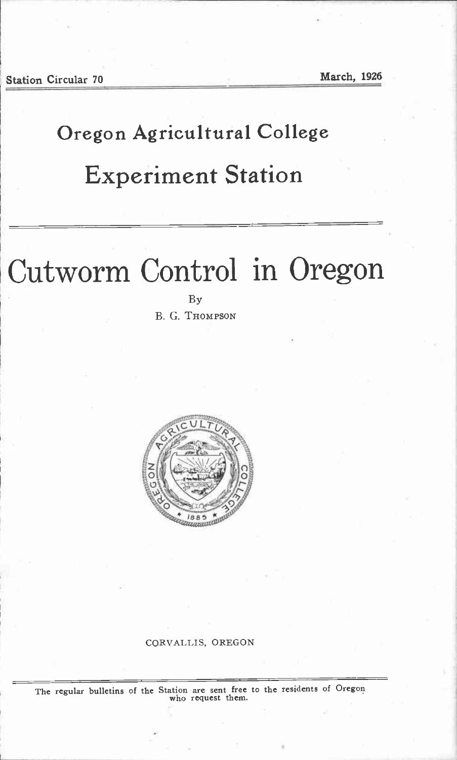## Oregon Agricultural College

# Experiment Station

# Cutworm Control in Oregon

By B. G. THOMPSON



#### CORVALLIS, OREGON

The regular bulletins of the Station are sent free to the residents of Oregon who request them.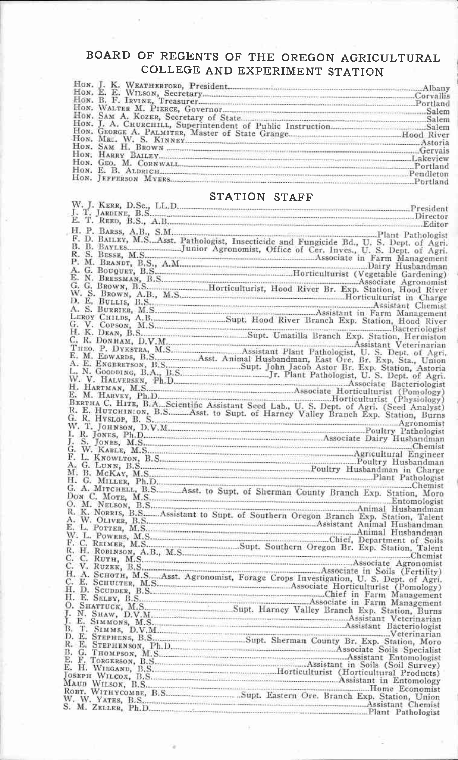### BOARD OF REGENTS OF THE OREGON AGRICULTURAL COLLEGE AND EXPERIMENT STATION

| HON. E. B. ALDRICH |  |
|--------------------|--|
|                    |  |

### **STATION STAFF**

| T. REED, B.S., A.B.<br>Editor<br>H. P. BAESs, A.B., S.M.<br>H. P. BAESS, A.B., S.M.<br>F. D. BAILEY, M.SAsst. Pathologist, Insecticide and Fungicide Bd., U. S. Dept. of Agri.<br>B. B. B. B. B. S. BESS, A.M.<br>BRANDT, B.S., A.M.<br>P. M. BRANDT, B.S., A. |
|----------------------------------------------------------------------------------------------------------------------------------------------------------------------------------------------------------------------------------------------------------------|
|                                                                                                                                                                                                                                                                |
|                                                                                                                                                                                                                                                                |
|                                                                                                                                                                                                                                                                |
|                                                                                                                                                                                                                                                                |
|                                                                                                                                                                                                                                                                |
|                                                                                                                                                                                                                                                                |
|                                                                                                                                                                                                                                                                |
|                                                                                                                                                                                                                                                                |
|                                                                                                                                                                                                                                                                |
|                                                                                                                                                                                                                                                                |
|                                                                                                                                                                                                                                                                |
|                                                                                                                                                                                                                                                                |
|                                                                                                                                                                                                                                                                |
|                                                                                                                                                                                                                                                                |
|                                                                                                                                                                                                                                                                |
|                                                                                                                                                                                                                                                                |
|                                                                                                                                                                                                                                                                |
|                                                                                                                                                                                                                                                                |
|                                                                                                                                                                                                                                                                |
|                                                                                                                                                                                                                                                                |
|                                                                                                                                                                                                                                                                |
|                                                                                                                                                                                                                                                                |
|                                                                                                                                                                                                                                                                |
|                                                                                                                                                                                                                                                                |
|                                                                                                                                                                                                                                                                |
|                                                                                                                                                                                                                                                                |
|                                                                                                                                                                                                                                                                |
| H. K. DEAN, B.S., Assistant Plant Pathologist<br>C. R. DONHAM, D.V.M. Assistant Plant Pathologistant Veterinarian<br>E. M. EDWARDS, B.S., Assistant Plant Pathologist<br>E. M. EDWARDS, B.S., Assistant Plant Pathologist<br>C. B. Dept. o                     |
|                                                                                                                                                                                                                                                                |
|                                                                                                                                                                                                                                                                |
|                                                                                                                                                                                                                                                                |
|                                                                                                                                                                                                                                                                |
|                                                                                                                                                                                                                                                                |
|                                                                                                                                                                                                                                                                |
|                                                                                                                                                                                                                                                                |
|                                                                                                                                                                                                                                                                |
| R. K. NORRIS, B.S., Assistant to Supt. of Southern Oregon Branch Exp. Station, Talent A. W. D. L. POTTER, M.S., ASS., ASS., ASS., ASS., ASS., ASS., ASS., ASS., ASS., ASS., ASS., ASS., ASS., ASS., ASS., ASS., ASS., ASS., AS                                 |
|                                                                                                                                                                                                                                                                |
|                                                                                                                                                                                                                                                                |
|                                                                                                                                                                                                                                                                |
|                                                                                                                                                                                                                                                                |
|                                                                                                                                                                                                                                                                |
|                                                                                                                                                                                                                                                                |
|                                                                                                                                                                                                                                                                |
|                                                                                                                                                                                                                                                                |
|                                                                                                                                                                                                                                                                |
|                                                                                                                                                                                                                                                                |
|                                                                                                                                                                                                                                                                |
|                                                                                                                                                                                                                                                                |
|                                                                                                                                                                                                                                                                |
|                                                                                                                                                                                                                                                                |
|                                                                                                                                                                                                                                                                |
|                                                                                                                                                                                                                                                                |
|                                                                                                                                                                                                                                                                |
|                                                                                                                                                                                                                                                                |
|                                                                                                                                                                                                                                                                |
|                                                                                                                                                                                                                                                                |
|                                                                                                                                                                                                                                                                |
|                                                                                                                                                                                                                                                                |
|                                                                                                                                                                                                                                                                |
|                                                                                                                                                                                                                                                                |
|                                                                                                                                                                                                                                                                |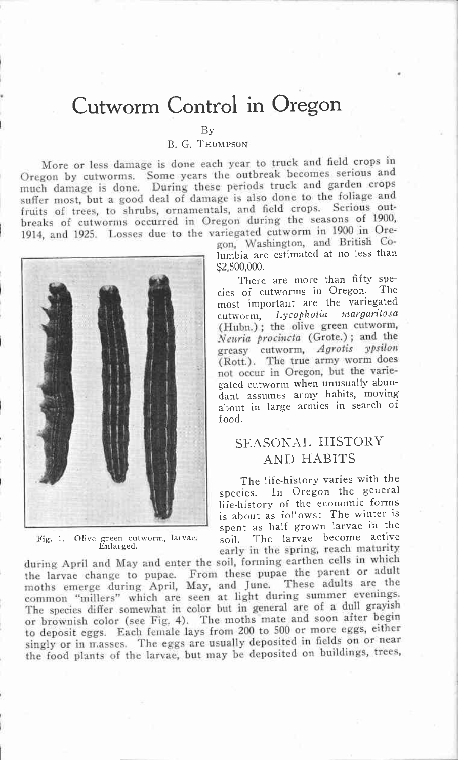# Cutworm Control in Oregon

By

#### B. G. THOMPSON

More or less damage is done each year to truck and field crops in Oregon by cutworms. Some years the outbreak becomes serious and much damage is done. During these periods truck and garden crops suffer most, but a good deal of damage is also done to the foliage and fruits of trees, to shrubs, ornamentals, and field crops. Serious outbreaks of cutworms occurred in Oregon during the seasons of 1900, 1914, and 1925. Losses due to the variegated cutworm in 1900 in Ore-



Fig. 1. Olive green cutworm, larvae. soil.<br>Enlarged.

gon, Washington, and British Co lumbia are estimated at no less than \$2,500,000.

(Hubn.); the olive green cutworm, Neuria procincta (Grote.); and the greasy cutworm, Agrotis ypsilon (Rott.). The true army worm does not occur in Oregon, but the varie-<br>gated cutworm when unusually abun-There are more than fifty spe-<br>of cutworms in Oregon. The cies of cutworms in Oregon. most important are the variegated cutworm, Lycophotia margaritosa dant assumes army habits, moving about in large armies in search of food.

### SEASONAL HISTORY AND HABITS

early in the spring, reach maturity The life-history varies with the species. In Oregon the general life-history of the economic forms is about as follows: The winter is spent as half grown larvae in the The larvae become active

during April and May and enter the soil, forming earthen cells in which the larvae changc to pupae. From these pupae the parent or adult moths emerge during April, May, arid June. These adults are the common "millers" vhich are seen at light during summer evenings. The species differ somewhat in color but in general are of a dull grayish or brownish color (see Fig. 4). The moths mate and soon after begin to deposit eggs, Each female lays from 200 to 500 or more eggs, either singly or in masses. The eggs are usually deposited in fields on or near the food plants of the larvae, but may be deposited on buildings, trees,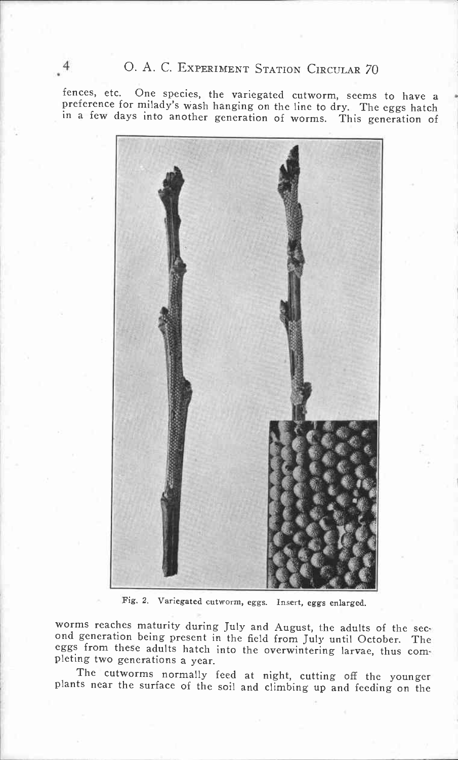fences, etc. One species, the variegated cutworm, seems to have a preference for milady's wash hanging on the line to dry. The eggs hatch in a few days into another generation of worms. This generation of



Fig. 2. Variegated cutworm, eggs. Insert, eggs enlarged.

worms reaches maturity during July and August, the adults of the sec-<br>ond generation being present in the field from July until October. The eggs from these adults hatch into the overwintering larvae, thus com- pleting two generations a year.

The cutworms normally feed at night, cutting off the younger plants near the surface of the soil and climbing up and feeding on the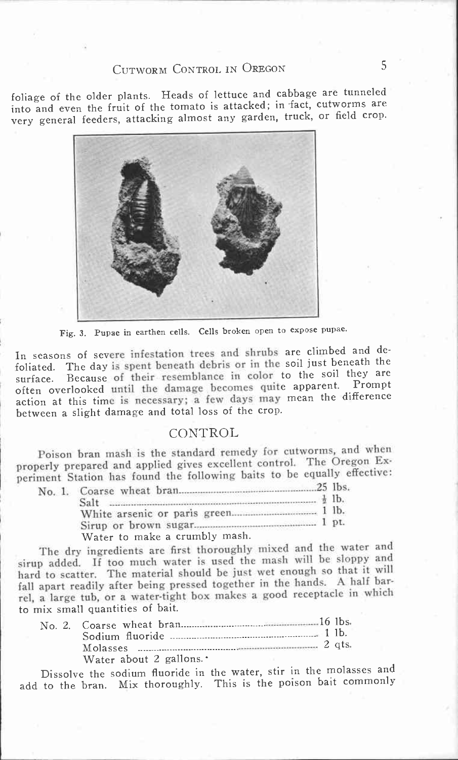### CUTWORM CONTROL IN OREGON 5

foliage of the older plants. Heads of lettuce and cabbage are tunneled into and even the fruit of the tomato is attacked; in fact, cutworms are very general feeders, attacking almost any garden, truck, or field crop.



Fig. 3. Pupae in earthen cells. Cells broken open to expose pupae.

In seasons of severe infestation trees and shrubs are climbed and defoliated. The day is spent beneath debris or in the soil just beneath the<br>surface. Because of their resemblance in color to the soil they are often overlooked until the damage becomes quite apparent. Prompt<br>action at this time is necessary; a few days may mean the difference foliated. The day is spent beneath debris or in the soil just beneath the often overlooked until the damage becomes quite apparent. Prompt between a slight damage and total loss of the crop.

#### CONTROL

Poison bran mash is the standard remedy for cutworms, and when properly prepared and applied gives excellent control. The Oregon Experiment Station has found the following baits to be equally effective:

| Salt $\frac{1}{2}$ lb.        |  |
|-------------------------------|--|
|                               |  |
|                               |  |
| Water to make a crumbly mash. |  |

The dry ingredients are first thoroughly mixed and the water and sirup added. If too much water is used the mash will he sloppy and hard to scatter. The material should be just wet enough so that it will fall apart readily after being pressed together in the hands. A half barrel, a large tub, or a water-tight box makes a good receptacle in which to mix small quantities of bait.

| Water about 2 gallons. <sup>*</sup> |  |
|-------------------------------------|--|

Dissolve the sodium fluoride in the water, stir in the molasses and add to the bran. Mix thoroughly. This is the poison bait commonly